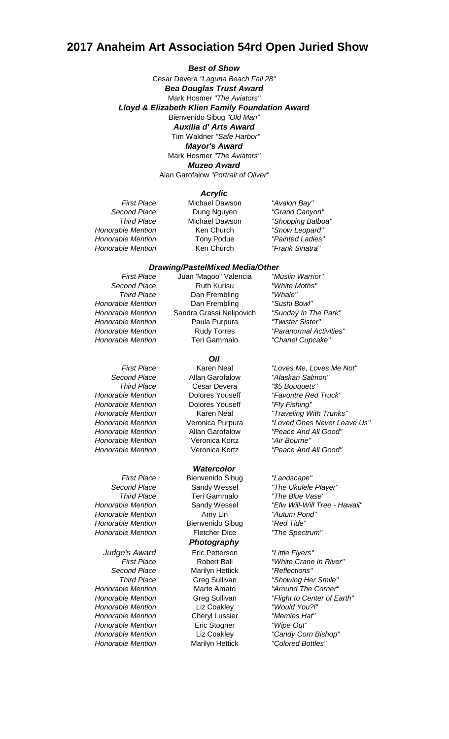# **2017 Anaheim Art Association 54rd Open Juried Show**

Mark Hosmer *"The Aviators" Muzeo Award* Alan Garofalow *"Portrait of Oliver" Best of Show* Cesar Devera *"Laguna Beach Fall 28"* Mark Hosmer *"The Aviators" Lloyd & Elizabeth Klien Family Foundation Award* Bienvenido Sibug *"Old Man" Bea Douglas Trust Award* Tim Waldner *"Safe Harbor" Mayor's Award Auxilia d' Arts Award*

### *Acrylic*

**Honorable Mention** Ken Church *Honorable Mention* Tony Podue *"Painted Ladies" Honorable Mention* Ken Church *"Frank Sinatra"*

*First Place* Michael Dawson *"Avalon Bay" Second Place* Dung Nguyen *"Grand Canyon"*

*Third Place* Michael Dawson *"Shopping Balboa"*

### *Drawing/PastelMixed Media/Other*

*Honorable Mention* Dolores Youseff *"Fly Fishing" Honorable Mention* Veronica Kortz *"Air Bourne"*

*Honorable Mention* Amy Lin *"Autum Pond" Honorable Mention* Bienvenido Sibug *"Red Tide" Honorable Mention* Fletcher Dice *"The Spectrum"*

*Honorable Mention* Liz Coakley *"Would You?l" Honorable Mention* Cheryl Lussier *"Memies Hat" Honorable Mention* Eric Stogner *"Wipe Out" Honorable Mention* Marilyn Hettick *"Colored Bottles"*

*First Place* Juan 'Magoo" Valencia *"Muslin Warrior" Second Place* Ruth Kurisu *"White Moths" Third Place* Dan Frembling *"Whale" Honorable Mention* Dan Frembling *"Sushi Bowl" Honorable Mention* Sandra Grassi Nelipovich *"Sunday In The Park"* **Honorable Mention** Paula Purpura *Honorable Mention* Rudy Torres *"Paranormal Activities" Honorable Mention* Teri Gammalo *"Chanel Cupcake"*

#### *Oil*

*Second Place* Allan Garofalow *"Alaskan Salmon" Third Place* Cesar Devera *"\$5 Bouquets"*

## *Watercolor*

*Third Place* Teri Gammalo *"The Blue Vase" Judge's Award* Eric Petterson *"Little Flyers" Second Place* Marilyn Hettick *"Reflections" Photography*

*First Place* Karen Neal *"Loves Me, Loves Me Not" Honorable Mention* Dolores Youseff *"Favoritre Red Truck" Honorable Mention* Karen Neal *"Traveling With Trunks" Honorable Mention* Veronica Purpura *"Loved Ones Never Leave Us" Honorable Mention* Allan Garofalow *"Peace And All Good" Honorable Mention* Veronica Kortz *"Peace And All Good"*

*First Place* Bienvenido Sibug *"Landscape" Second Place* Sandy Wessel *"The Ukulele Player" Honorable Mention* Sandy Wessel *"Efw Will-Will Tree - Hawaii"*

*First Place* Robert Ball *"White Crane In River" Third Place* Greg Sullivan *"Showing Her Smile" Honorable Mention* Marte Amato *"Around The Corner" Honorable Mention* Greg Sullivan *"Flight to Center of Earth" Honorable Mention* Liz Coakley *"Candy Corn Bishop"*